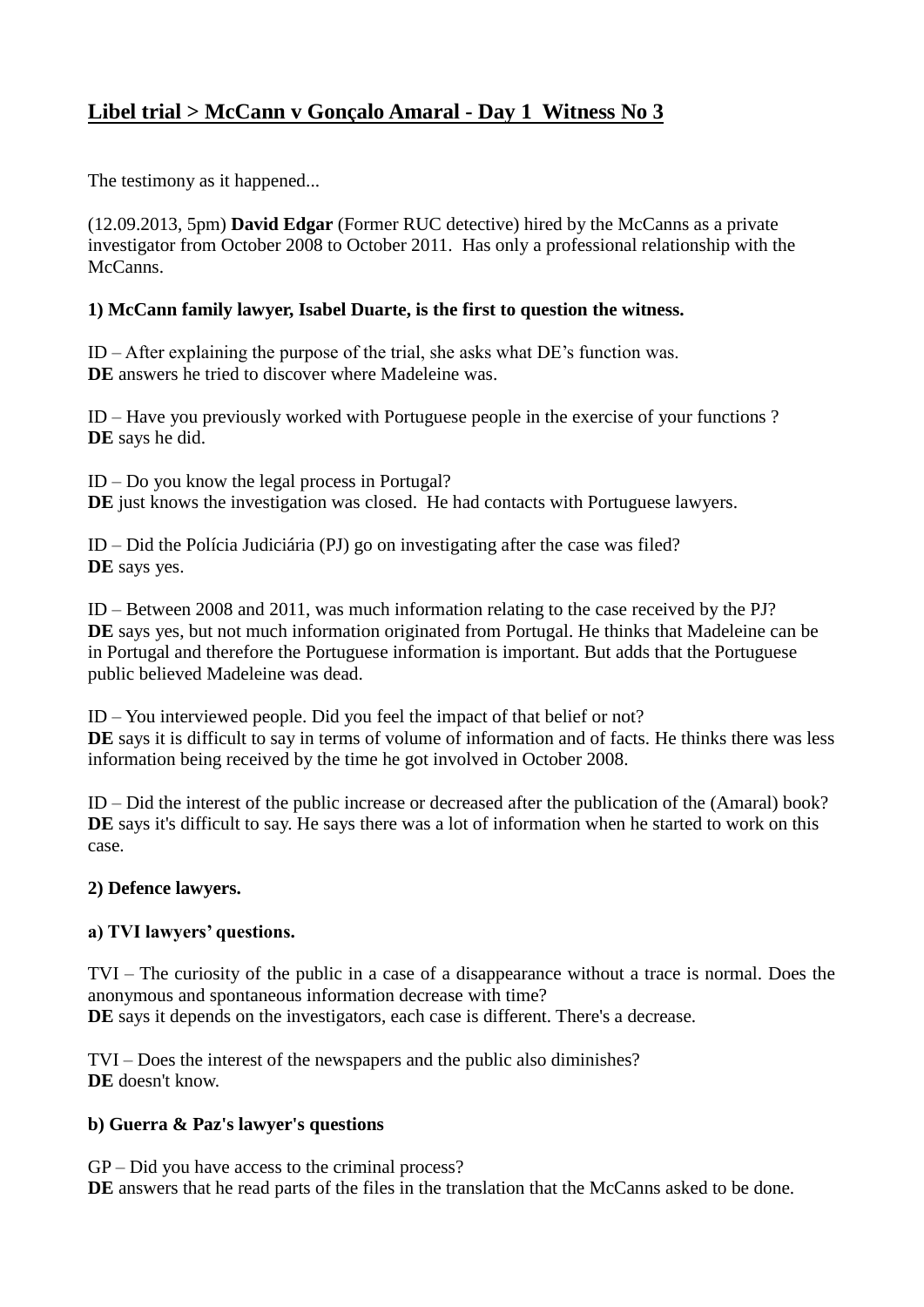# **Libel trial > McCann v Gonçalo Amaral - Day 1 Witness No 3**

The testimony as it happened...

(12.09.2013, 5pm) **David Edgar** (Former RUC detective) hired by the McCanns as a private investigator from October 2008 to October 2011. Has only a professional relationship with the McCanns.

## **1) McCann family lawyer, Isabel Duarte, is the first to question the witness.**

ID – After explaining the purpose of the trial, she asks what DE's function was. **DE** answers he tried to discover where Madeleine was.

ID – Have you previously worked with Portuguese people in the exercise of your functions ? **DE** says he did.

ID – Do you know the legal process in Portugal? **DE** just knows the investigation was closed. He had contacts with Portuguese lawyers.

ID – Did the Polícia Judiciária (PJ) go on investigating after the case was filed? **DE** says yes.

ID – Between 2008 and 2011, was much information relating to the case received by the PJ? **DE** says yes, but not much information originated from Portugal. He thinks that Madeleine can be in Portugal and therefore the Portuguese information is important. But adds that the Portuguese public believed Madeleine was dead.

ID – You interviewed people. Did you feel the impact of that belief or not? **DE** says it is difficult to say in terms of volume of information and of facts. He thinks there was less information being received by the time he got involved in October 2008.

ID – Did the interest of the public increase or decreased after the publication of the (Amaral) book? DE says it's difficult to say. He says there was a lot of information when he started to work on this case.

### **2) Defence lawyers.**

### **a) TVI lawyers' questions.**

TVI – The curiosity of the public in a case of a disappearance without a trace is normal. Does the anonymous and spontaneous information decrease with time? DE says it depends on the investigators, each case is different. There's a decrease.

TVI – Does the interest of the newspapers and the public also diminishes? **DE** doesn't know.

### **b) Guerra & Paz's lawyer's questions**

GP – Did you have access to the criminal process? DE answers that he read parts of the files in the translation that the McCanns asked to be done.